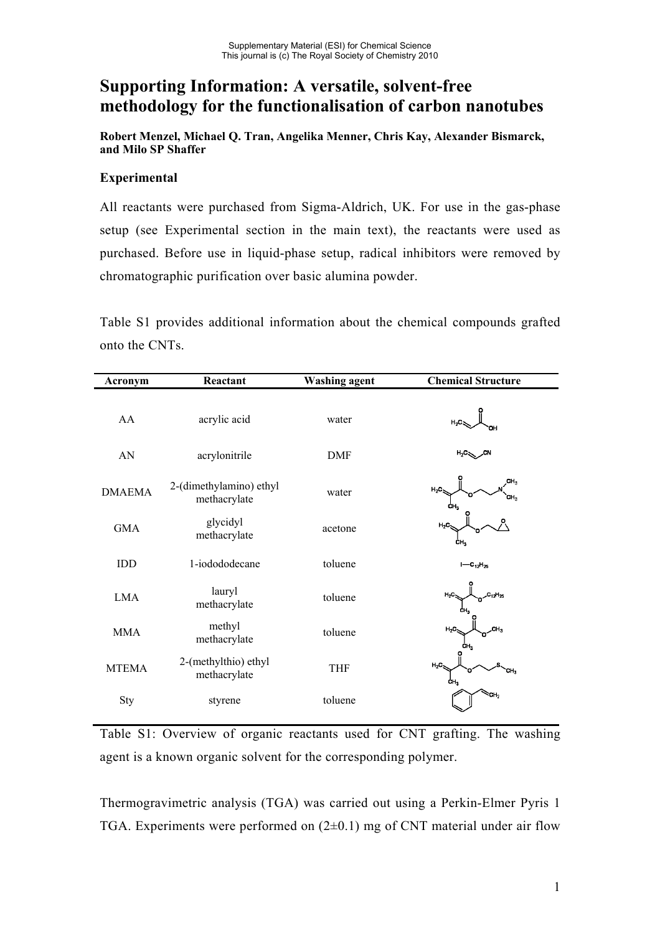## **Supporting Information: A versatile, solvent-free methodology for the functionalisation of carbon nanotubes**

**Robert Menzel, Michael Q. Tran, Angelika Menner, Chris Kay, Alexander Bismarck, and Milo SP Shaffer**

## **Experimental**

All reactants were purchased from Sigma-Aldrich, UK. For use in the gas-phase setup (see Experimental section in the main text), the reactants were used as purchased. Before use in liquid-phase setup, radical inhibitors were removed by chromatographic purification over basic alumina powder.

Table S1 provides additional information about the chemical compounds grafted onto the CNTs.

| Acronym       | Reactant<br><b>Washing agent</b>        |            | <b>Chemical Structure</b>                           |  |  |
|---------------|-----------------------------------------|------------|-----------------------------------------------------|--|--|
| AA            | acrylic acid                            | water      | $H_2C$                                              |  |  |
| AN            | acrylonitrile                           | <b>DMF</b> | $H_2C_{\infty}$<br>.CN                              |  |  |
| <b>DMAEMA</b> | 2-(dimethylamino) ethyl<br>methacrylate | water      | CH <sub>3</sub><br>$H_2C$<br>CH <sub>3</sub><br>CH. |  |  |
| <b>GMA</b>    | glycidyl<br>methacrylate                | acetone    | $H_2C$<br>CH.                                       |  |  |
| IDD           | 1-iodododecane                          | toluene    | $I - C_{12}H_{25}$                                  |  |  |
| <b>LMA</b>    | lauryl<br>methacrylate                  | toluene    | $H_2C$<br>$C_{12}H_{25}$<br>CH,                     |  |  |
| <b>MMA</b>    | methyl<br>methacrylate                  | toluene    | $H_2C_2$<br>CH <sub>3</sub><br>CH.                  |  |  |
| <b>MTEMA</b>  | 2-(methylthio) ethyl<br>methacrylate    | <b>THF</b> | $H_2C$<br>ĊH <sub>3</sub>                           |  |  |
| Sty           | styrene                                 | toluene    | cн,                                                 |  |  |

Table S1: Overview of organic reactants used for CNT grafting. The washing agent is a known organic solvent for the corresponding polymer.

Thermogravimetric analysis (TGA) was carried out using a Perkin-Elmer Pyris 1 TGA. Experiments were performed on  $(2\pm 0.1)$  mg of CNT material under air flow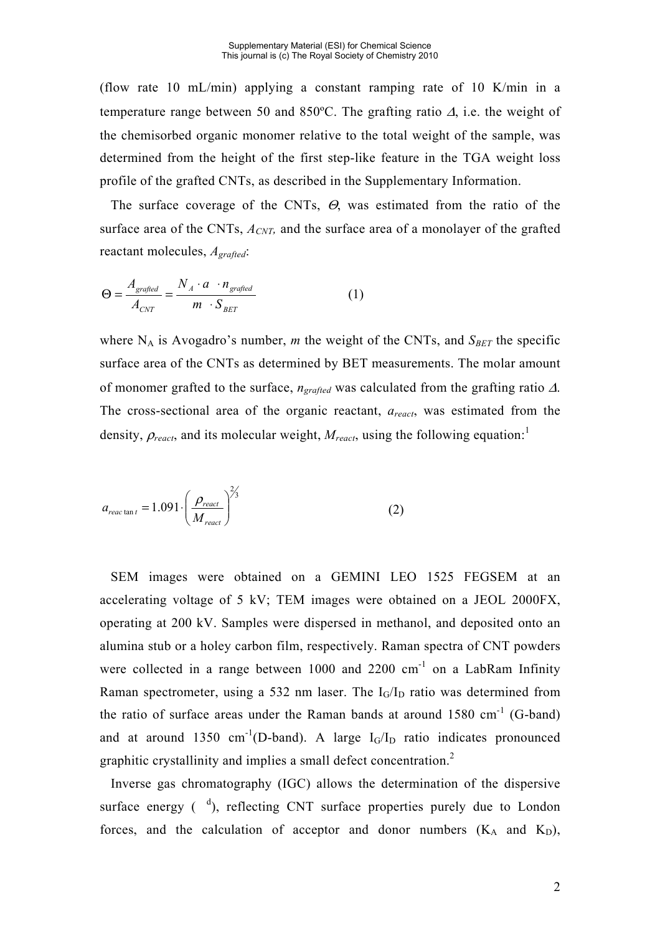(flow rate 10 mL/min) applying a constant ramping rate of 10 K/min in a temperature range between 50 and 850°C. The grafting ratio  $\Delta$ , i.e. the weight of the chemisorbed organic monomer relative to the total weight of the sample, was determined from the height of the first step-like feature in the TGA weight loss profile of the grafted CNTs, as described in the Supplementary Information.

 The surface coverage of the CNTs, Θ, was estimated from the ratio of the surface area of the CNTs,  $A_{CNT}$ , and the surface area of a monolayer of the grafted reactant molecules, *Agrafted*:

$$
\Theta = \frac{A_{gradient}}{A_{CNT}} = \frac{N_A \cdot a \cdot n_{gradient}}{m \cdot S_{BET}} \tag{1}
$$

where  $N_A$  is Avogadro's number, *m* the weight of the CNTs, and  $S_{BET}$  the specific surface area of the CNTs as determined by BET measurements. The molar amount of monomer grafted to the surface, *ngrafted* was calculated from the grafting ratio Δ. The cross-sectional area of the organic reactant, *areact*, was estimated from the density,  $\rho_{react}$ , and its molecular weight,  $M_{react}$ , using the following equation:<sup>1</sup>

$$
a_{reac \tan t} = 1.091 \cdot \left(\frac{\rho_{react}}{M_{react}}\right)^{2/3}
$$
 (2)

 SEM images were obtained on a GEMINI LEO 1525 FEGSEM at an accelerating voltage of 5 kV; TEM images were obtained on a JEOL 2000FX, operating at 200 kV. Samples were dispersed in methanol, and deposited onto an alumina stub or a holey carbon film, respectively. Raman spectra of CNT powders were collected in a range between  $1000$  and  $2200$  cm<sup>-1</sup> on a LabRam Infinity Raman spectrometer, using a 532 nm laser. The  $I_G/I_D$  ratio was determined from the ratio of surface areas under the Raman bands at around  $1580 \text{ cm}^{-1}$  (G-band) and at around 1350 cm<sup>-1</sup>(D-band). A large  $I_G/I_D$  ratio indicates pronounced graphitic crystallinity and implies a small defect concentration.<sup>2</sup>

 Inverse gas chromatography (IGC) allows the determination of the dispersive surface energy  $\binom{d}{k}$ , reflecting CNT surface properties purely due to London forces, and the calculation of acceptor and donor numbers  $(K_A \text{ and } K_D)$ ,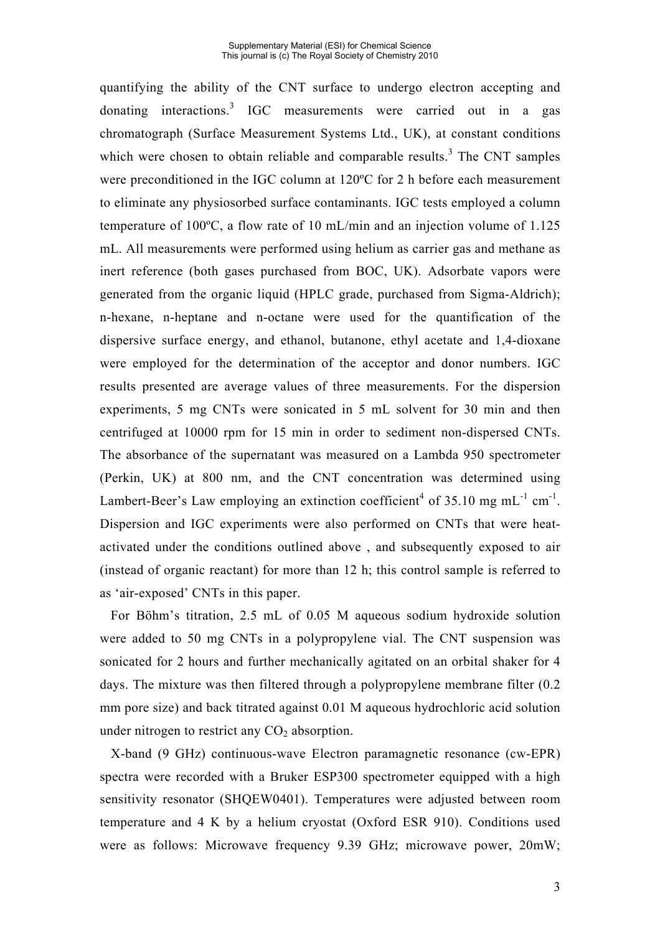quantifying the ability of the CNT surface to undergo electron accepting and donating interactions.<sup>3</sup> IGC measurements were carried out in a gas chromatograph (Surface Measurement Systems Ltd., UK), at constant conditions which were chosen to obtain reliable and comparable results.<sup>3</sup> The CNT samples were preconditioned in the IGC column at 120ºC for 2 h before each measurement to eliminate any physiosorbed surface contaminants. IGC tests employed a column temperature of 100ºC, a flow rate of 10 mL/min and an injection volume of 1.125 mL. All measurements were performed using helium as carrier gas and methane as inert reference (both gases purchased from BOC, UK). Adsorbate vapors were generated from the organic liquid (HPLC grade, purchased from Sigma-Aldrich); n-hexane, n-heptane and n-octane were used for the quantification of the dispersive surface energy, and ethanol, butanone, ethyl acetate and 1,4-dioxane were employed for the determination of the acceptor and donor numbers. IGC results presented are average values of three measurements. For the dispersion experiments, 5 mg CNTs were sonicated in 5 mL solvent for 30 min and then centrifuged at 10000 rpm for 15 min in order to sediment non-dispersed CNTs. The absorbance of the supernatant was measured on a Lambda 950 spectrometer (Perkin, UK) at 800 nm, and the CNT concentration was determined using Lambert-Beer's Law employing an extinction coefficient<sup>4</sup> of 35.10 mg mL<sup>-1</sup> cm<sup>-1</sup>. Dispersion and IGC experiments were also performed on CNTs that were heatactivated under the conditions outlined above , and subsequently exposed to air (instead of organic reactant) for more than 12 h; this control sample is referred to as 'air-exposed' CNTs in this paper.

 For Böhm's titration, 2.5 mL of 0.05 M aqueous sodium hydroxide solution were added to 50 mg CNTs in a polypropylene vial. The CNT suspension was sonicated for 2 hours and further mechanically agitated on an orbital shaker for 4 days. The mixture was then filtered through a polypropylene membrane filter (0.2 mm pore size) and back titrated against 0.01 M aqueous hydrochloric acid solution under nitrogen to restrict any  $CO<sub>2</sub>$  absorption.

 X-band (9 GHz) continuous-wave Electron paramagnetic resonance (cw-EPR) spectra were recorded with a Bruker ESP300 spectrometer equipped with a high sensitivity resonator (SHQEW0401). Temperatures were adjusted between room temperature and 4 K by a helium cryostat (Oxford ESR 910). Conditions used were as follows: Microwave frequency 9.39 GHz; microwave power, 20mW;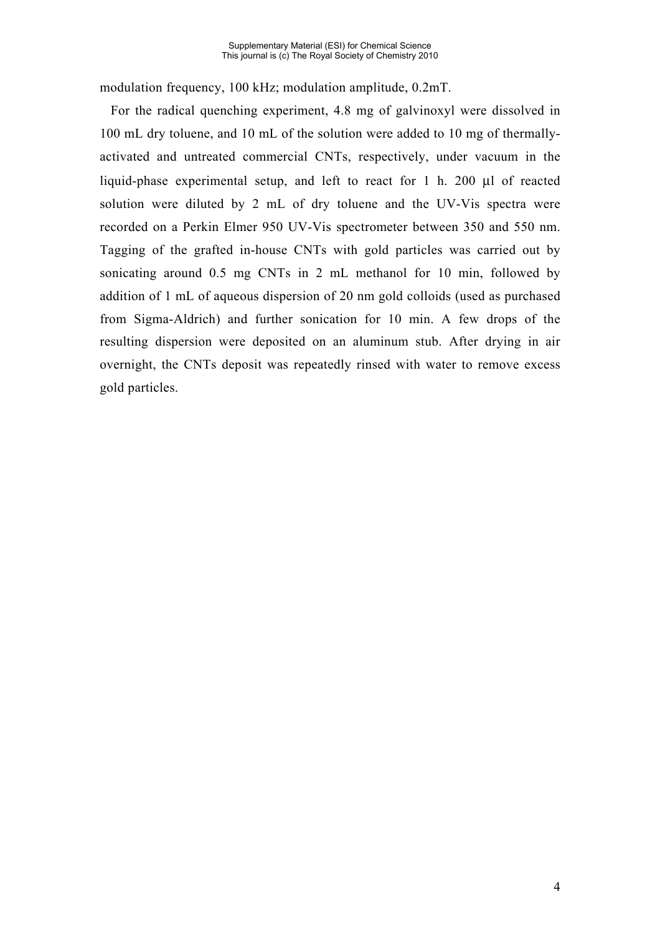modulation frequency, 100 kHz; modulation amplitude, 0.2mT.

 For the radical quenching experiment, 4.8 mg of galvinoxyl were dissolved in 100 mL dry toluene, and 10 mL of the solution were added to 10 mg of thermallyactivated and untreated commercial CNTs, respectively, under vacuum in the liquid-phase experimental setup, and left to react for 1 h. 200 μl of reacted solution were diluted by 2 mL of dry toluene and the UV-Vis spectra were recorded on a Perkin Elmer 950 UV-Vis spectrometer between 350 and 550 nm. Tagging of the grafted in-house CNTs with gold particles was carried out by sonicating around 0.5 mg CNTs in 2 mL methanol for 10 min, followed by addition of 1 mL of aqueous dispersion of 20 nm gold colloids (used as purchased from Sigma-Aldrich) and further sonication for 10 min. A few drops of the resulting dispersion were deposited on an aluminum stub. After drying in air overnight, the CNTs deposit was repeatedly rinsed with water to remove excess gold particles.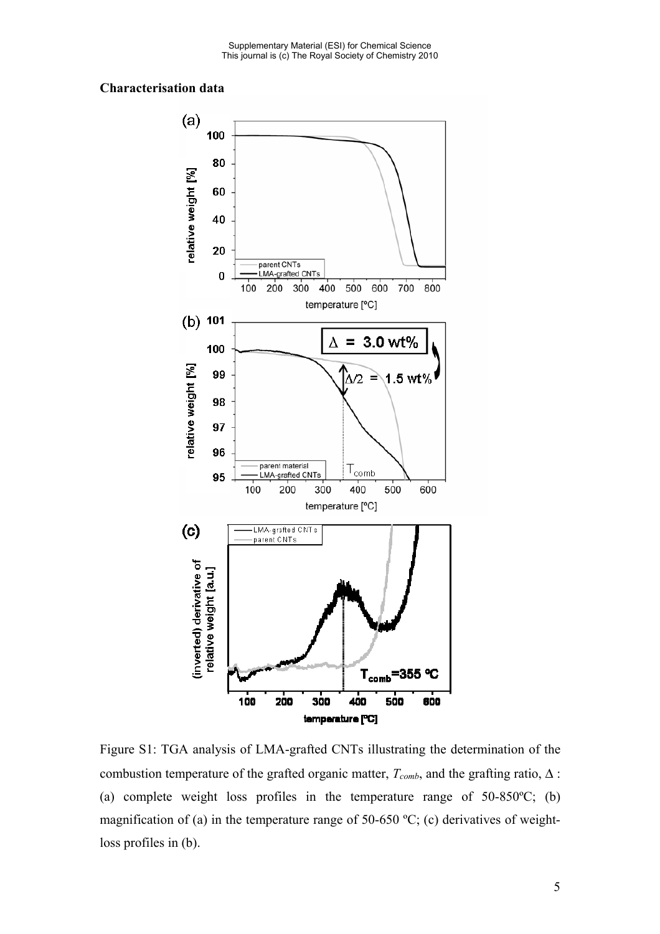## **Characterisation data**



Figure S1: TGA analysis of LMA-grafted CNTs illustrating the determination of the combustion temperature of the grafted organic matter,  $T_{comb}$ , and the grafting ratio,  $\Delta$ : (a) complete weight loss profiles in the temperature range of 50-850ºC; (b) magnification of (a) in the temperature range of 50-650 ºC; (c) derivatives of weightloss profiles in (b).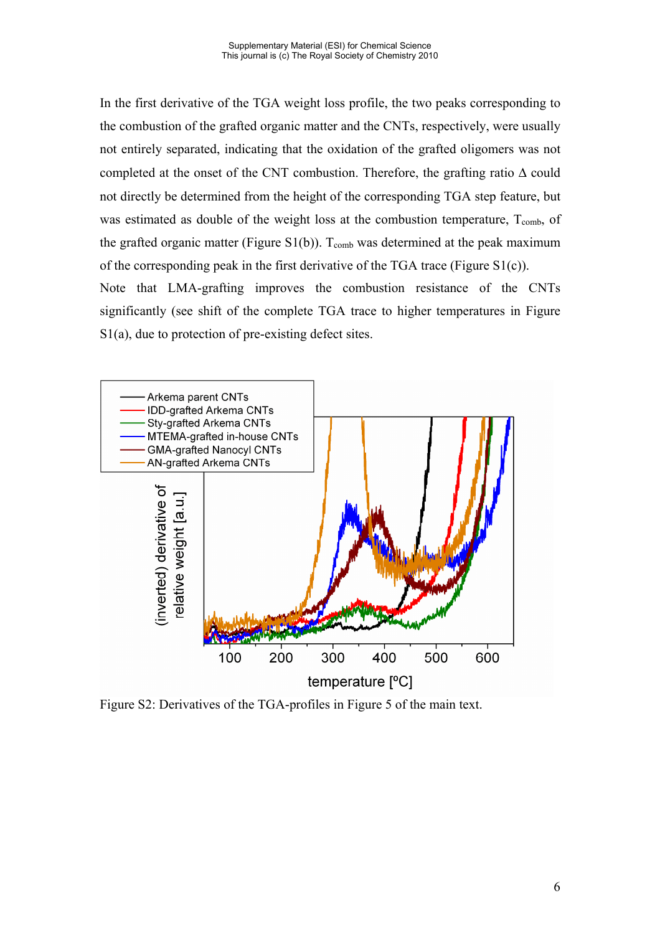In the first derivative of the TGA weight loss profile, the two peaks corresponding to the combustion of the grafted organic matter and the CNTs, respectively, were usually not entirely separated, indicating that the oxidation of the grafted oligomers was not completed at the onset of the CNT combustion. Therefore, the grafting ratio  $\Delta$  could not directly be determined from the height of the corresponding TGA step feature, but was estimated as double of the weight loss at the combustion temperature,  $T_{\text{comb}}$ , of the grafted organic matter (Figure S1(b)).  $T_{comb}$  was determined at the peak maximum of the corresponding peak in the first derivative of the TGA trace (Figure S1(c)).

Note that LMA-grafting improves the combustion resistance of the CNTs significantly (see shift of the complete TGA trace to higher temperatures in Figure S1(a), due to protection of pre-existing defect sites.



Figure S2: Derivatives of the TGA-profiles in Figure 5 of the main text.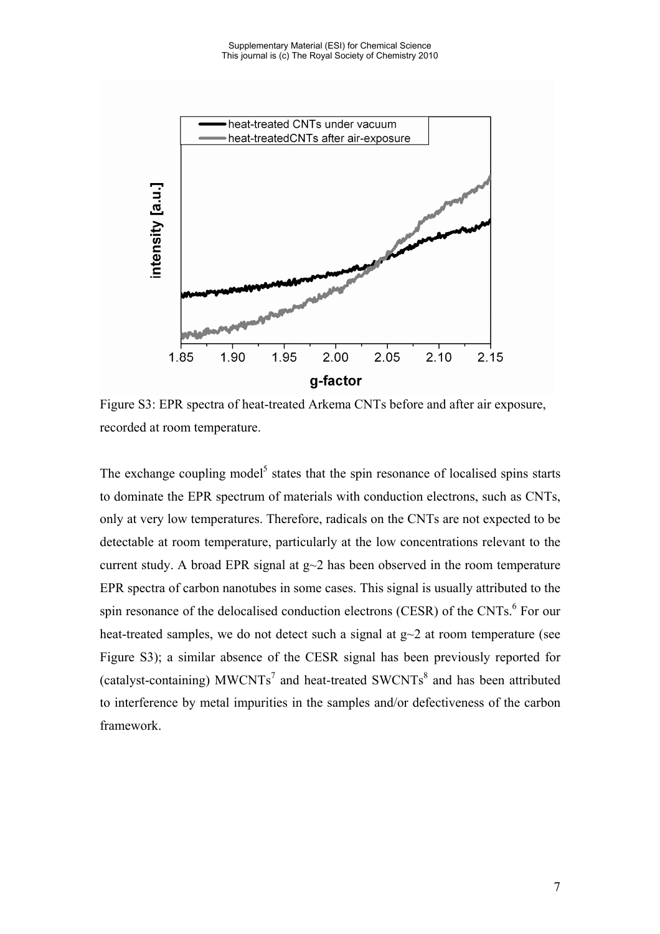

Figure S3: EPR spectra of heat-treated Arkema CNTs before and after air exposure, recorded at room temperature.

The exchange coupling model<sup>5</sup> states that the spin resonance of localised spins starts to dominate the EPR spectrum of materials with conduction electrons, such as CNTs, only at very low temperatures. Therefore, radicals on the CNTs are not expected to be detectable at room temperature, particularly at the low concentrations relevant to the current study. A broad EPR signal at  $g\sim 2$  has been observed in the room temperature EPR spectra of carbon nanotubes in some cases. This signal is usually attributed to the spin resonance of the delocalised conduction electrons (CESR) of the CNTs.<sup>6</sup> For our heat-treated samples, we do not detect such a signal at  $g\sim 2$  at room temperature (see Figure S3); a similar absence of the CESR signal has been previously reported for (catalyst-containing) MWCNTs<sup>7</sup> and heat-treated SWCNTs<sup>8</sup> and has been attributed to interference by metal impurities in the samples and/or defectiveness of the carbon framework.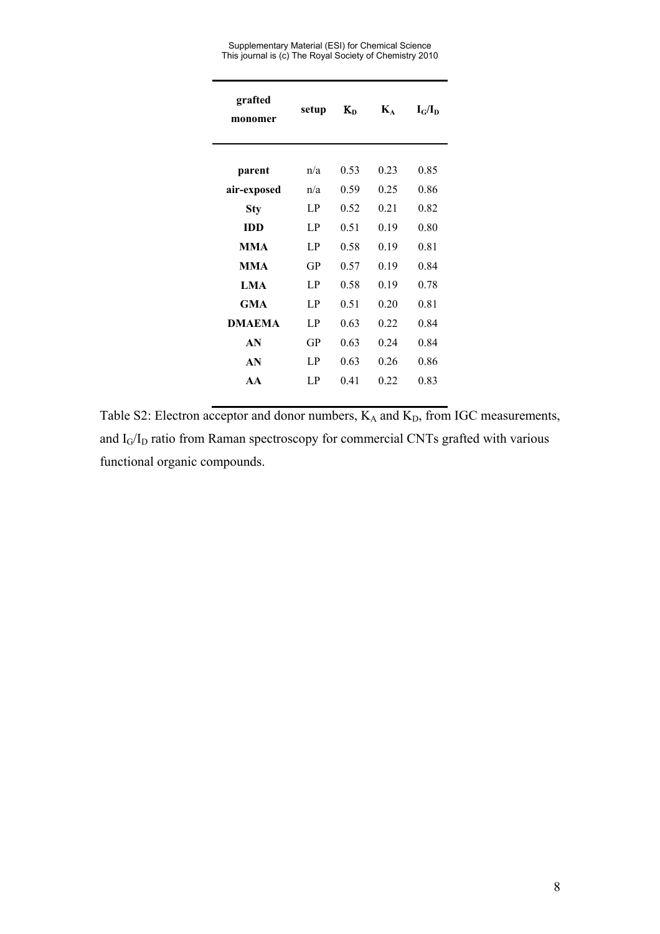Supplementary Material (ESI) for Chemical Science This journal is (c) The Royal Society of Chemistry 2010

| grafted<br>monomer | setup | $K_{D}$ | $\mathbf{K}_{\mathbf{A}}$ | $I_G/I_D$ |
|--------------------|-------|---------|---------------------------|-----------|
|                    |       |         |                           |           |
| parent             | n/a   | 0.53    | 0.23                      | 0.85      |
| air-exposed        | n/a   | 0.59    | 0.25                      | 0.86      |
| Sty                | LP    | 0.52    | 0.21                      | 0.82      |
| <b>IDD</b>         | LP.   | 0.51    | 0.19                      | 0.80      |
| <b>MMA</b>         | LP.   | 0.58    | 0.19                      | 0.81      |
| <b>MMA</b>         | GP    | 0.57    | 0.19                      | 0.84      |
| <b>LMA</b>         | LP.   | 0.58    | 0.19                      | 0.78      |
| GMA                | LP.   | 0.51    | 0.20                      | 0.81      |
| <b>DMAEMA</b>      | LP    | 0.63    | 0.22                      | 0.84      |
| AN                 | GP    | 0.63    | 0.24                      | 0.84      |
| AN                 | LP    | 0.63    | 0.26                      | 0.86      |
| AA                 | LP.   | 0.41    | 0.22                      | 0.83      |
|                    |       |         |                           |           |

Table S2: Electron acceptor and donor numbers,  $K_A$  and  $K_D$ , from IGC measurements, and  $I_G/I_D$  ratio from Raman spectroscopy for commercial CNTs grafted with various functional organic compounds.